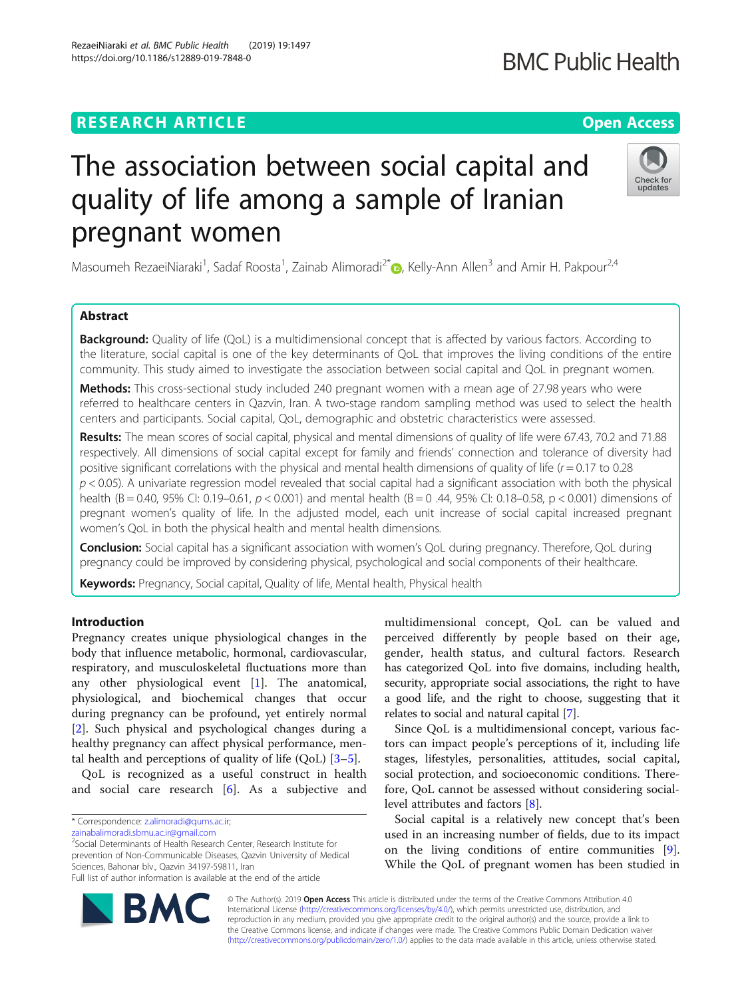## **RESEARCH ARTICLE Example 2014 12:30 The Contract of Contract ACCESS**

# The association between social capital and quality of life among a sample of Iranian pregnant women

Masoumeh RezaeiNiaraki<sup>1</sup>, Sadaf Roosta<sup>1</sup>, Zainab Alimoradi<sup>2\*</sup>. Kelly-Ann Allen<sup>3</sup> and Amir H. Pakpour<sup>2,4</sup>

## Abstract

**Background:** Quality of life (QoL) is a multidimensional concept that is affected by various factors. According to the literature, social capital is one of the key determinants of QoL that improves the living conditions of the entire community. This study aimed to investigate the association between social capital and QoL in pregnant women.

Methods: This cross-sectional study included 240 pregnant women with a mean age of 27.98 years who were referred to healthcare centers in Qazvin, Iran. A two-stage random sampling method was used to select the health centers and participants. Social capital, QoL, demographic and obstetric characteristics were assessed.

Results: The mean scores of social capital, physical and mental dimensions of quality of life were 67.43, 70.2 and 71.88 respectively. All dimensions of social capital except for family and friends' connection and tolerance of diversity had positive significant correlations with the physical and mental health dimensions of quality of life ( $r = 0.17$  to 0.28  $p < 0.05$ ). A univariate regression model revealed that social capital had a significant association with both the physical health (B = 0.40, 95% CI: 0.19–0.61, p < 0.001) and mental health (B = 0.44, 95% CI: 0.18–0.58, p < 0.001) dimensions of pregnant women's quality of life. In the adjusted model, each unit increase of social capital increased pregnant women's QoL in both the physical health and mental health dimensions.

**Conclusion:** Social capital has a significant association with women's QoL during pregnancy. Therefore, QoL during pregnancy could be improved by considering physical, psychological and social components of their healthcare.

Keywords: Pregnancy, Social capital, Quality of life, Mental health, Physical health

## Introduction

Pregnancy creates unique physiological changes in the body that influence metabolic, hormonal, cardiovascular, respiratory, and musculoskeletal fluctuations more than any other physiological event [[1\]](#page-6-0). The anatomical, physiological, and biochemical changes that occur during pregnancy can be profound, yet entirely normal [[2\]](#page-6-0). Such physical and psychological changes during a healthy pregnancy can affect physical performance, mental health and perceptions of quality of life (QoL) [[3](#page-6-0)–[5](#page-6-0)].

QoL is recognized as a useful construct in health and social care research [[6\]](#page-6-0). As a subjective and

\* Correspondence: [z.alimoradi@qums.ac.ir;](mailto:z.alimoradi@qums.ac.ir)

**BM** 

[zainabalimoradi.sbmu.ac.ir@gmail.com](mailto:zainabalimoradi.sbmu.ac.ir@gmail.com)

2 Social Determinants of Health Research Center, Research Institute for prevention of Non-Communicable Diseases, Qazvin University of Medical Sciences, Bahonar blv., Qazvin 34197-59811, Iran Full list of author information is available at the end of the article

> © The Author(s). 2019 **Open Access** This article is distributed under the terms of the Creative Commons Attribution 4.0 International License [\(http://creativecommons.org/licenses/by/4.0/](http://creativecommons.org/licenses/by/4.0/)), which permits unrestricted use, distribution, and reproduction in any medium, provided you give appropriate credit to the original author(s) and the source, provide a link to the Creative Commons license, and indicate if changes were made. The Creative Commons Public Domain Dedication waiver [\(http://creativecommons.org/publicdomain/zero/1.0/](http://creativecommons.org/publicdomain/zero/1.0/)) applies to the data made available in this article, unless otherwise stated.



stages, lifestyles, personalities, attitudes, social capital, social protection, and socioeconomic conditions. Therefore, QoL cannot be assessed without considering sociallevel attributes and factors [\[8](#page-6-0)].

multidimensional concept, QoL can be valued and perceived differently by people based on their age, gender, health status, and cultural factors. Research

Social capital is a relatively new concept that's been used in an increasing number of fields, due to its impact on the living conditions of entire communities [\[9](#page-6-0)]. While the QoL of pregnant women has been studied in





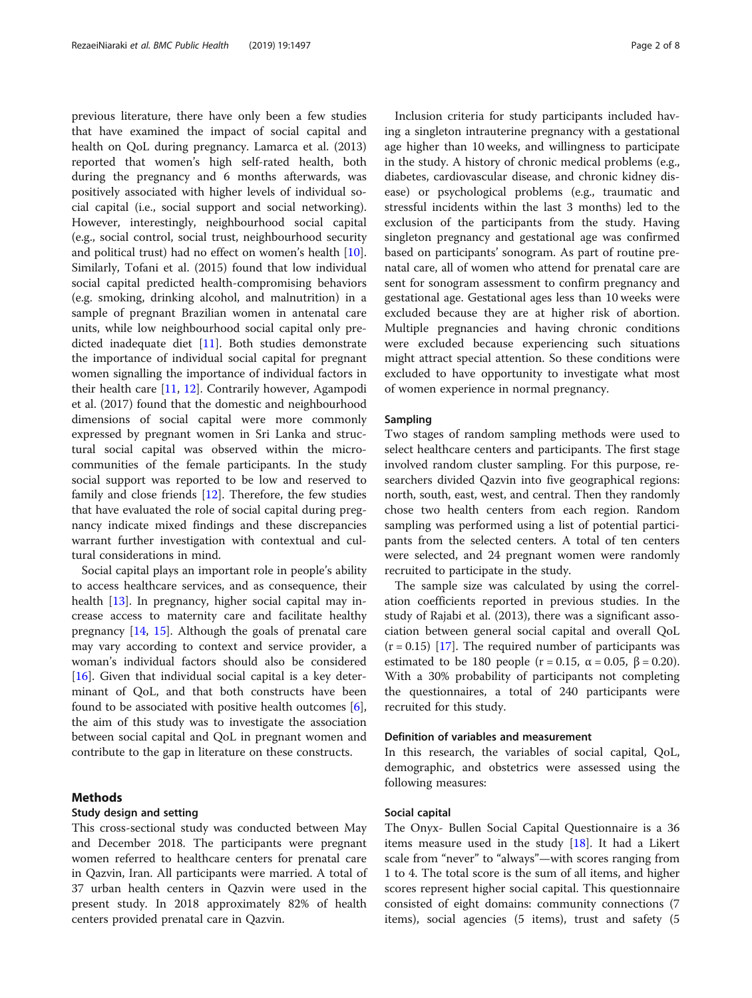previous literature, there have only been a few studies that have examined the impact of social capital and health on QoL during pregnancy. Lamarca et al. (2013) reported that women's high self-rated health, both during the pregnancy and 6 months afterwards, was positively associated with higher levels of individual social capital (i.e., social support and social networking). However, interestingly, neighbourhood social capital (e.g., social control, social trust, neighbourhood security and political trust) had no effect on women's health [\[10](#page-6-0)]. Similarly, Tofani et al. (2015) found that low individual social capital predicted health-compromising behaviors (e.g. smoking, drinking alcohol, and malnutrition) in a sample of pregnant Brazilian women in antenatal care units, while low neighbourhood social capital only predicted inadequate diet [[11\]](#page-6-0). Both studies demonstrate the importance of individual social capital for pregnant women signalling the importance of individual factors in their health care [\[11](#page-6-0), [12](#page-6-0)]. Contrarily however, Agampodi et al. (2017) found that the domestic and neighbourhood dimensions of social capital were more commonly expressed by pregnant women in Sri Lanka and structural social capital was observed within the microcommunities of the female participants. In the study social support was reported to be low and reserved to family and close friends [[12\]](#page-6-0). Therefore, the few studies that have evaluated the role of social capital during pregnancy indicate mixed findings and these discrepancies warrant further investigation with contextual and cultural considerations in mind.

Social capital plays an important role in people's ability to access healthcare services, and as consequence, their health [\[13](#page-6-0)]. In pregnancy, higher social capital may increase access to maternity care and facilitate healthy pregnancy [[14,](#page-6-0) [15\]](#page-6-0). Although the goals of prenatal care may vary according to context and service provider, a woman's individual factors should also be considered [ $16$ ]. Given that individual social capital is a key determinant of QoL, and that both constructs have been found to be associated with positive health outcomes [\[6](#page-6-0)], the aim of this study was to investigate the association between social capital and QoL in pregnant women and contribute to the gap in literature on these constructs.

## Methods

## Study design and setting

This cross-sectional study was conducted between May and December 2018. The participants were pregnant women referred to healthcare centers for prenatal care in Qazvin, Iran. All participants were married. A total of 37 urban health centers in Qazvin were used in the present study. In 2018 approximately 82% of health centers provided prenatal care in Qazvin.

Inclusion criteria for study participants included having a singleton intrauterine pregnancy with a gestational age higher than 10 weeks, and willingness to participate in the study. A history of chronic medical problems (e.g., diabetes, cardiovascular disease, and chronic kidney disease) or psychological problems (e.g., traumatic and stressful incidents within the last 3 months) led to the exclusion of the participants from the study. Having singleton pregnancy and gestational age was confirmed based on participants' sonogram. As part of routine prenatal care, all of women who attend for prenatal care are sent for sonogram assessment to confirm pregnancy and gestational age. Gestational ages less than 10 weeks were excluded because they are at higher risk of abortion. Multiple pregnancies and having chronic conditions were excluded because experiencing such situations might attract special attention. So these conditions were excluded to have opportunity to investigate what most of women experience in normal pregnancy.

## Sampling

Two stages of random sampling methods were used to select healthcare centers and participants. The first stage involved random cluster sampling. For this purpose, researchers divided Qazvin into five geographical regions: north, south, east, west, and central. Then they randomly chose two health centers from each region. Random sampling was performed using a list of potential participants from the selected centers. A total of ten centers were selected, and 24 pregnant women were randomly recruited to participate in the study.

The sample size was calculated by using the correlation coefficients reported in previous studies. In the study of Rajabi et al. (2013), there was a significant association between general social capital and overall QoL  $(r = 0.15)$  [\[17\]](#page-6-0). The required number of participants was estimated to be 180 people ( $r = 0.15$ ,  $\alpha = 0.05$ ,  $\beta = 0.20$ ). With a 30% probability of participants not completing the questionnaires, a total of 240 participants were recruited for this study.

## Definition of variables and measurement

In this research, the variables of social capital, QoL, demographic, and obstetrics were assessed using the following measures:

## Social capital

The Onyx- Bullen Social Capital Questionnaire is a 36 items measure used in the study [\[18](#page-6-0)]. It had a Likert scale from "never" to "always"—with scores ranging from 1 to 4. The total score is the sum of all items, and higher scores represent higher social capital. This questionnaire consisted of eight domains: community connections (7 items), social agencies (5 items), trust and safety (5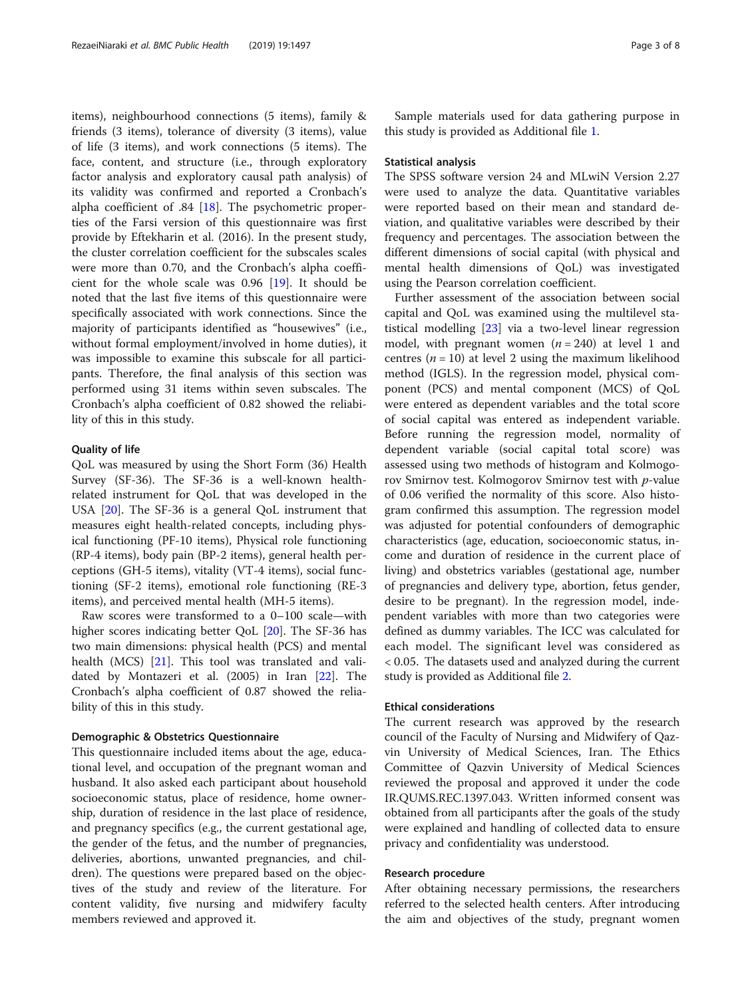items), neighbourhood connections (5 items), family & friends (3 items), tolerance of diversity (3 items), value of life (3 items), and work connections (5 items). The face, content, and structure (i.e., through exploratory factor analysis and exploratory causal path analysis) of its validity was confirmed and reported a Cronbach's alpha coefficient of .84 [[18\]](#page-6-0). The psychometric properties of the Farsi version of this questionnaire was first provide by Eftekharin et al. (2016). In the present study, the cluster correlation coefficient for the subscales scales were more than 0.70, and the Cronbach's alpha coefficient for the whole scale was 0.96 [[19](#page-6-0)]. It should be noted that the last five items of this questionnaire were specifically associated with work connections. Since the majority of participants identified as "housewives" (i.e., without formal employment/involved in home duties), it was impossible to examine this subscale for all participants. Therefore, the final analysis of this section was performed using 31 items within seven subscales. The Cronbach's alpha coefficient of 0.82 showed the reliability of this in this study.

## Quality of life

QoL was measured by using the Short Form (36) Health Survey (SF-36). The SF-36 is a well-known healthrelated instrument for QoL that was developed in the USA [\[20\]](#page-6-0). The SF-36 is a general QoL instrument that measures eight health-related concepts, including physical functioning (PF-10 items), Physical role functioning (RP-4 items), body pain (BP-2 items), general health perceptions (GH-5 items), vitality (VT-4 items), social functioning (SF-2 items), emotional role functioning (RE-3 items), and perceived mental health (MH-5 items).

Raw scores were transformed to a 0–100 scale—with higher scores indicating better QoL [\[20](#page-6-0)]. The SF-36 has two main dimensions: physical health (PCS) and mental health (MCS) [\[21](#page-6-0)]. This tool was translated and validated by Montazeri et al. (2005) in Iran [[22\]](#page-6-0). The Cronbach's alpha coefficient of 0.87 showed the reliability of this in this study.

## Demographic & Obstetrics Questionnaire

This questionnaire included items about the age, educational level, and occupation of the pregnant woman and husband. It also asked each participant about household socioeconomic status, place of residence, home ownership, duration of residence in the last place of residence, and pregnancy specifics (e.g., the current gestational age, the gender of the fetus, and the number of pregnancies, deliveries, abortions, unwanted pregnancies, and children). The questions were prepared based on the objectives of the study and review of the literature. For content validity, five nursing and midwifery faculty members reviewed and approved it.

Sample materials used for data gathering purpose in this study is provided as Additional file [1.](#page-6-0)

### Statistical analysis

The SPSS software version 24 and MLwiN Version 2.27 were used to analyze the data. Quantitative variables were reported based on their mean and standard deviation, and qualitative variables were described by their frequency and percentages. The association between the different dimensions of social capital (with physical and mental health dimensions of QoL) was investigated using the Pearson correlation coefficient.

Further assessment of the association between social capital and QoL was examined using the multilevel statistical modelling [[23](#page-6-0)] via a two-level linear regression model, with pregnant women  $(n = 240)$  at level 1 and centres ( $n = 10$ ) at level 2 using the maximum likelihood method (IGLS). In the regression model, physical component (PCS) and mental component (MCS) of QoL were entered as dependent variables and the total score of social capital was entered as independent variable. Before running the regression model, normality of dependent variable (social capital total score) was assessed using two methods of histogram and Kolmogorov Smirnov test. Kolmogorov Smirnov test with p-value of 0.06 verified the normality of this score. Also histogram confirmed this assumption. The regression model was adjusted for potential confounders of demographic characteristics (age, education, socioeconomic status, income and duration of residence in the current place of living) and obstetrics variables (gestational age, number of pregnancies and delivery type, abortion, fetus gender, desire to be pregnant). In the regression model, independent variables with more than two categories were defined as dummy variables. The ICC was calculated for each model. The significant level was considered as < 0.05. The datasets used and analyzed during the current study is provided as Additional file [2](#page-6-0).

#### Ethical considerations

The current research was approved by the research council of the Faculty of Nursing and Midwifery of Qazvin University of Medical Sciences, Iran. The Ethics Committee of Qazvin University of Medical Sciences reviewed the proposal and approved it under the code IR.QUMS.REC.1397.043. Written informed consent was obtained from all participants after the goals of the study were explained and handling of collected data to ensure privacy and confidentiality was understood.

## Research procedure

After obtaining necessary permissions, the researchers referred to the selected health centers. After introducing the aim and objectives of the study, pregnant women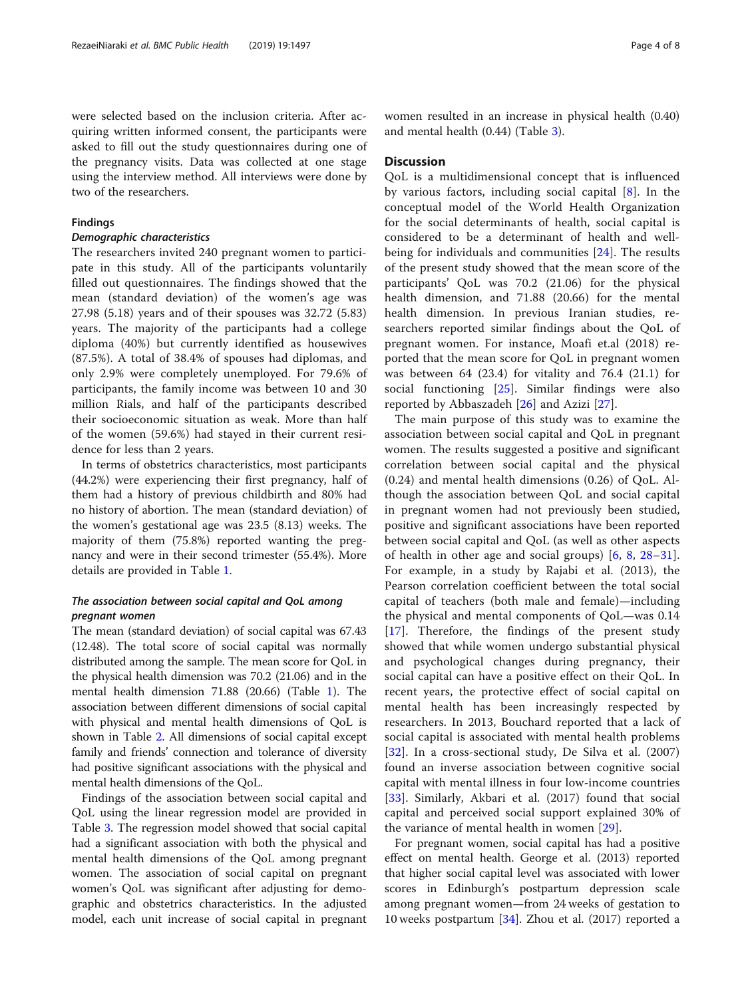were selected based on the inclusion criteria. After acquiring written informed consent, the participants were asked to fill out the study questionnaires during one of the pregnancy visits. Data was collected at one stage using the interview method. All interviews were done by two of the researchers.

## Findings

## Demographic characteristics

The researchers invited 240 pregnant women to participate in this study. All of the participants voluntarily filled out questionnaires. The findings showed that the mean (standard deviation) of the women's age was 27.98 (5.18) years and of their spouses was 32.72 (5.83) years. The majority of the participants had a college diploma (40%) but currently identified as housewives (87.5%). A total of 38.4% of spouses had diplomas, and only 2.9% were completely unemployed. For 79.6% of participants, the family income was between 10 and 30 million Rials, and half of the participants described their socioeconomic situation as weak. More than half of the women (59.6%) had stayed in their current residence for less than 2 years.

In terms of obstetrics characteristics, most participants (44.2%) were experiencing their first pregnancy, half of them had a history of previous childbirth and 80% had no history of abortion. The mean (standard deviation) of the women's gestational age was 23.5 (8.13) weeks. The majority of them (75.8%) reported wanting the pregnancy and were in their second trimester (55.4%). More details are provided in Table [1.](#page-4-0)

## The association between social capital and QoL among pregnant women

The mean (standard deviation) of social capital was 67.43 (12.48). The total score of social capital was normally distributed among the sample. The mean score for QoL in the physical health dimension was 70.2 (21.06) and in the mental health dimension 71.88 (20.66) (Table [1\)](#page-4-0). The association between different dimensions of social capital with physical and mental health dimensions of QoL is shown in Table [2](#page-5-0). All dimensions of social capital except family and friends' connection and tolerance of diversity had positive significant associations with the physical and mental health dimensions of the QoL.

Findings of the association between social capital and QoL using the linear regression model are provided in Table [3.](#page-5-0) The regression model showed that social capital had a significant association with both the physical and mental health dimensions of the QoL among pregnant women. The association of social capital on pregnant women's QoL was significant after adjusting for demographic and obstetrics characteristics. In the adjusted model, each unit increase of social capital in pregnant women resulted in an increase in physical health (0.40) and mental health (0.44) (Table [3](#page-5-0)).

## Discussion

QoL is a multidimensional concept that is influenced by various factors, including social capital  $[8]$  $[8]$ . In the conceptual model of the World Health Organization for the social determinants of health, social capital is considered to be a determinant of health and wellbeing for individuals and communities [[24\]](#page-6-0). The results of the present study showed that the mean score of the participants' QoL was 70.2 (21.06) for the physical health dimension, and 71.88 (20.66) for the mental health dimension. In previous Iranian studies, researchers reported similar findings about the QoL of pregnant women. For instance, Moafi et.al (2018) reported that the mean score for QoL in pregnant women was between 64 (23.4) for vitality and 76.4 (21.1) for social functioning [\[25](#page-6-0)]. Similar findings were also reported by Abbaszadeh [[26\]](#page-6-0) and Azizi [[27\]](#page-6-0).

The main purpose of this study was to examine the association between social capital and QoL in pregnant women. The results suggested a positive and significant correlation between social capital and the physical (0.24) and mental health dimensions (0.26) of QoL. Although the association between QoL and social capital in pregnant women had not previously been studied, positive and significant associations have been reported between social capital and QoL (as well as other aspects of health in other age and social groups) [\[6](#page-6-0), [8](#page-6-0), [28](#page-7-0)–[31](#page-7-0)]. For example, in a study by Rajabi et al. (2013), the Pearson correlation coefficient between the total social capital of teachers (both male and female)—including the physical and mental components of QoL—was 0.14 [[17\]](#page-6-0). Therefore, the findings of the present study showed that while women undergo substantial physical and psychological changes during pregnancy, their social capital can have a positive effect on their QoL. In recent years, the protective effect of social capital on mental health has been increasingly respected by researchers. In 2013, Bouchard reported that a lack of social capital is associated with mental health problems [[32\]](#page-7-0). In a cross-sectional study, De Silva et al. (2007) found an inverse association between cognitive social capital with mental illness in four low-income countries [[33\]](#page-7-0). Similarly, Akbari et al. (2017) found that social capital and perceived social support explained 30% of the variance of mental health in women [\[29](#page-7-0)].

For pregnant women, social capital has had a positive effect on mental health. George et al. (2013) reported that higher social capital level was associated with lower scores in Edinburgh's postpartum depression scale among pregnant women—from 24 weeks of gestation to 10 weeks postpartum [\[34](#page-7-0)]. Zhou et al. (2017) reported a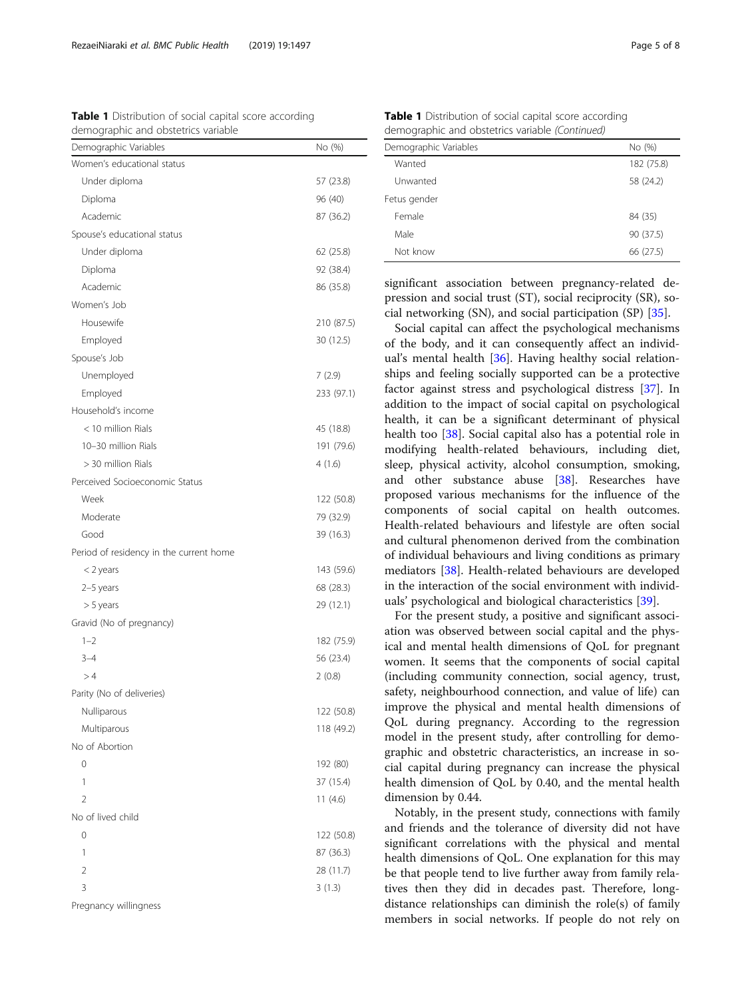<span id="page-4-0"></span>RezaeiNiaraki et al. BMC Public Health (2019) 19:1497 Page 1 of 8

Table 1 Distribution of social capital score according demographic and obstetrics variable

| Demographic Variables                   | No (%)     |
|-----------------------------------------|------------|
| Women's educational status              |            |
| Under diploma                           | 57 (23.8)  |
| Diploma                                 | 96 (40)    |
| Academic                                | 87 (36.2)  |
| Spouse's educational status             |            |
| Under diploma                           | 62 (25.8)  |
| Diploma                                 | 92 (38.4)  |
| Academic                                | 86 (35.8)  |
| Women's Job                             |            |
| Housewife                               | 210 (87.5) |
| Employed                                | 30 (12.5)  |
| Spouse's Job                            |            |
| Unemployed                              | 7(2.9)     |
| Employed                                | 233 (97.1) |
| Household's income                      |            |
| < 10 million Rials                      | 45 (18.8)  |
| 10-30 million Rials                     | 191 (79.6) |
| > 30 million Rials                      | 4(1.6)     |
| Perceived Socioeconomic Status          |            |
| Week                                    | 122 (50.8) |
| Moderate                                | 79 (32.9)  |
| Good                                    | 39 (16.3)  |
| Period of residency in the current home |            |
| $<$ 2 years                             | 143 (59.6) |
| 2-5 years                               | 68 (28.3)  |
| > 5 years                               | 29 (12.1)  |
| Gravid (No of pregnancy)                |            |
| $1 - 2$                                 | 182 (75.9) |
| $3 - 4$                                 | 56 (23.4)  |
| >4                                      | 2(0.8)     |
| Parity (No of deliveries)               |            |
| Nulliparous                             | 122 (50.8) |
| Multiparous                             | 118 (49.2) |
| No of Abortion                          |            |
| 0                                       | 192 (80)   |
| 1                                       | 37 (15.4)  |
| $\overline{2}$                          | 11(4.6)    |
| No of lived child                       |            |
| 0                                       | 122 (50.8) |
| 1                                       | 87 (36.3)  |
| $\overline{2}$                          | 28 (11.7)  |
| 3                                       | 3(1.3)     |
| Pregnancy willingness                   |            |

Table 1 Distribution of social capital score according demographic and obstetrics variable (Continued)

| Demographic Variables | No (%)     |
|-----------------------|------------|
| Wanted                | 182 (75.8) |
| Unwanted              | 58 (24.2)  |
| Fetus gender          |            |
| Female                | 84 (35)    |
| Male                  | 90 (37.5)  |
| Not know              | 66 (27.5)  |
|                       |            |

significant association between pregnancy-related depression and social trust (ST), social reciprocity (SR), social networking (SN), and social participation (SP) [\[35\]](#page-7-0).

Social capital can affect the psychological mechanisms of the body, and it can consequently affect an individual's mental health [\[36\]](#page-7-0). Having healthy social relationships and feeling socially supported can be a protective factor against stress and psychological distress [\[37\]](#page-7-0). In addition to the impact of social capital on psychological health, it can be a significant determinant of physical health too [\[38\]](#page-7-0). Social capital also has a potential role in modifying health-related behaviours, including diet, sleep, physical activity, alcohol consumption, smoking, and other substance abuse [[38](#page-7-0)]. Researches have proposed various mechanisms for the influence of the components of social capital on health outcomes. Health-related behaviours and lifestyle are often social and cultural phenomenon derived from the combination of individual behaviours and living conditions as primary mediators [\[38\]](#page-7-0). Health-related behaviours are developed in the interaction of the social environment with individuals' psychological and biological characteristics [\[39](#page-7-0)].

For the present study, a positive and significant association was observed between social capital and the physical and mental health dimensions of QoL for pregnant women. It seems that the components of social capital (including community connection, social agency, trust, safety, neighbourhood connection, and value of life) can improve the physical and mental health dimensions of QoL during pregnancy. According to the regression model in the present study, after controlling for demographic and obstetric characteristics, an increase in social capital during pregnancy can increase the physical health dimension of QoL by 0.40, and the mental health dimension by 0.44.

Notably, in the present study, connections with family and friends and the tolerance of diversity did not have significant correlations with the physical and mental health dimensions of QoL. One explanation for this may be that people tend to live further away from family relatives then they did in decades past. Therefore, longdistance relationships can diminish the role(s) of family members in social networks. If people do not rely on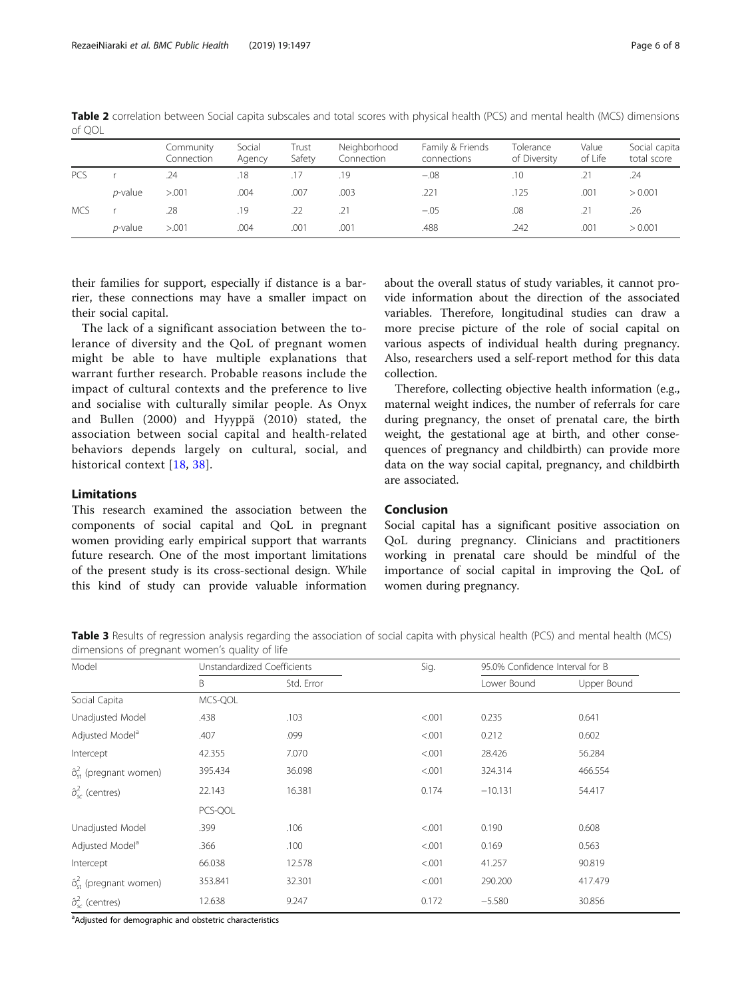|            |                 | Community<br>Connection | Social<br>Agency | Trust<br>Safety | Neighborhood<br>Connection | Family & Friends<br>connections | Tolerance<br>of Diversity | Value<br>of Life | Social capita<br>total score |
|------------|-----------------|-------------------------|------------------|-----------------|----------------------------|---------------------------------|---------------------------|------------------|------------------------------|
| <b>PCS</b> |                 | .24                     | .18              |                 | .19                        | $-.08$                          | .10                       |                  | .24                          |
|            | <i>p</i> -value | > 0.001                 | .004             | .007            | .003                       | .221                            | .125                      | .001             | > 0.001                      |
| <b>MCS</b> |                 | .28                     | .19              | .22             |                            | $-.05$                          | .08                       |                  | .26                          |
|            | <i>p</i> -value | > 0.001                 | .004             | .001            | .001                       | .488                            | .242                      | .001             | > 0.001                      |

<span id="page-5-0"></span>Table 2 correlation between Social capita subscales and total scores with physical health (PCS) and mental health (MCS) dimensions of QOL

their families for support, especially if distance is a barrier, these connections may have a smaller impact on their social capital.

The lack of a significant association between the tolerance of diversity and the QoL of pregnant women might be able to have multiple explanations that warrant further research. Probable reasons include the impact of cultural contexts and the preference to live and socialise with culturally similar people. As Onyx and Bullen (2000) and Hyyppä (2010) stated, the association between social capital and health-related behaviors depends largely on cultural, social, and historical context [[18](#page-6-0), [38\]](#page-7-0).

## Limitations

This research examined the association between the components of social capital and QoL in pregnant women providing early empirical support that warrants future research. One of the most important limitations of the present study is its cross-sectional design. While this kind of study can provide valuable information about the overall status of study variables, it cannot provide information about the direction of the associated variables. Therefore, longitudinal studies can draw a more precise picture of the role of social capital on various aspects of individual health during pregnancy. Also, researchers used a self-report method for this data collection.

Therefore, collecting objective health information (e.g., maternal weight indices, the number of referrals for care during pregnancy, the onset of prenatal care, the birth weight, the gestational age at birth, and other consequences of pregnancy and childbirth) can provide more data on the way social capital, pregnancy, and childbirth are associated.

## Conclusion

Social capital has a significant positive association on QoL during pregnancy. Clinicians and practitioners working in prenatal care should be mindful of the importance of social capital in improving the QoL of women during pregnancy.

Table 3 Results of regression analysis regarding the association of social capita with physical health (PCS) and mental health (MCS) dimensions of pregnant women's quality of life

| Model                                         | Unstandardized Coefficients |            | Sig.    | 95.0% Confidence Interval for B |             |  |  |
|-----------------------------------------------|-----------------------------|------------|---------|---------------------------------|-------------|--|--|
|                                               | B                           | Std. Error |         | Lower Bound                     | Upper Bound |  |  |
| Social Capita                                 | MCS-QOL                     |            |         |                                 |             |  |  |
| Unadjusted Model                              | .438                        | .103       | < .001  | 0.235                           | 0.641       |  |  |
| Adjusted Model <sup>a</sup>                   | .407                        | .099       | < 0.001 | 0.212                           | 0.602       |  |  |
| Intercept                                     | 42.355                      | 7.070      | < 0.001 | 28.426                          | 56.284      |  |  |
| $\hat{\sigma}_{\rm ct}^2$ (pregnant women)    | 395.434                     | 36.098     | < .001  | 324.314                         | 466.554     |  |  |
| $\hat{\sigma}_{sc}^{2}$ (centres)             | 22.143                      | 16.381     | 0.174   | $-10.131$                       | 54.417      |  |  |
|                                               | PCS-QOL                     |            |         |                                 |             |  |  |
| Unadjusted Model                              | .399                        | .106       | < 0.001 | 0.190                           | 0.608       |  |  |
| Adjusted Model <sup>a</sup>                   | .366                        | .100       | < 0.001 | 0.169                           | 0.563       |  |  |
| Intercept                                     | 66.038                      | 12.578     | < .001  | 41.257                          | 90.819      |  |  |
| $\hat{\sigma}_{\text{st}}^2$ (pregnant women) | 353.841                     | 32.301     | < .001  | 290.200                         | 417.479     |  |  |
| $\hat{\sigma}_{sc}^{2}$ (centres)             | 12.638                      | 9.247      | 0.172   | $-5.580$                        | 30.856      |  |  |

<sup>a</sup>Adjusted for demographic and obstetric characteristics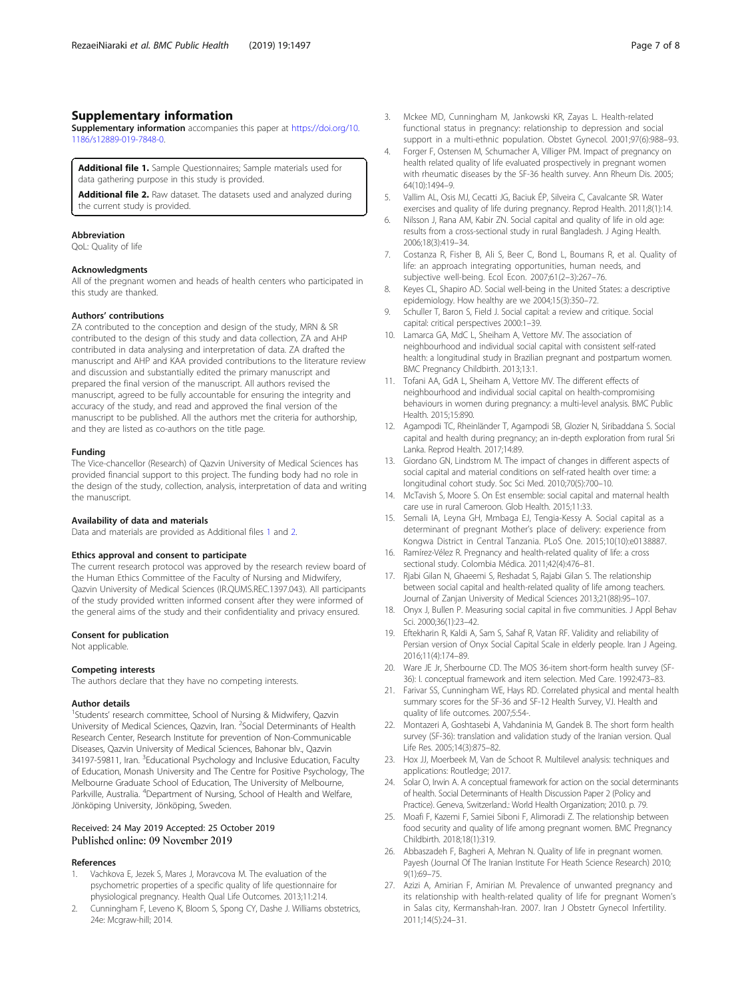## <span id="page-6-0"></span>Supplementary information

Supplementary information accompanies this paper at [https://doi.org/10.](https://doi.org/10.1186/s12889-019-7848-0) [1186/s12889-019-7848-0.](https://doi.org/10.1186/s12889-019-7848-0)

Additional file 1. Sample Questionnaires; Sample materials used for data gathering purpose in this study is provided.

Additional file 2. Raw dataset. The datasets used and analyzed during the current study is provided.

#### Abbreviation

QoL: Quality of life

### Acknowledgments

All of the pregnant women and heads of health centers who participated in this study are thanked.

## Authors' contributions

ZA contributed to the conception and design of the study, MRN & SR contributed to the design of this study and data collection, ZA and AHP contributed in data analysing and interpretation of data. ZA drafted the manuscript and AHP and KAA provided contributions to the literature review and discussion and substantially edited the primary manuscript and prepared the final version of the manuscript. All authors revised the manuscript, agreed to be fully accountable for ensuring the integrity and accuracy of the study, and read and approved the final version of the manuscript to be published. All the authors met the criteria for authorship, and they are listed as co-authors on the title page.

#### Funding

The Vice-chancellor (Research) of Qazvin University of Medical Sciences has provided financial support to this project. The funding body had no role in the design of the study, collection, analysis, interpretation of data and writing the manuscript.

#### Availability of data and materials

Data and materials are provided as Additional files 1 and 2.

#### Ethics approval and consent to participate

The current research protocol was approved by the research review board of the Human Ethics Committee of the Faculty of Nursing and Midwifery, Qazvin University of Medical Sciences (IR.QUMS.REC.1397.043). All participants of the study provided written informed consent after they were informed of the general aims of the study and their confidentiality and privacy ensured.

## Consent for publication

Not applicable.

#### Competing interests

The authors declare that they have no competing interests.

## Author details

<sup>1</sup>Students' research committee, School of Nursing & Midwifery, Qazvin University of Medical Sciences, Qazvin, Iran. <sup>2</sup>Social Determinants of Health Research Center, Research Institute for prevention of Non-Communicable Diseases, Qazvin University of Medical Sciences, Bahonar blv., Qazvin 34197-59811, Iran. <sup>3</sup>Educational Psychology and Inclusive Education, Faculty of Education, Monash University and The Centre for Positive Psychology, The Melbourne Graduate School of Education, The University of Melbourne, Parkville, Australia. <sup>4</sup>Department of Nursing, School of Health and Welfare, Jönköping University, Jönköping, Sweden.

## Received: 24 May 2019 Accepted: 25 October 2019 Published online: 09 November 2019

#### References

- Vachkova E, Jezek S, Mares J, Moravcova M. The evaluation of the psychometric properties of a specific quality of life questionnaire for physiological pregnancy. Health Qual Life Outcomes. 2013;11:214.
- Cunningham F, Leveno K, Bloom S, Spong CY, Dashe J. Williams obstetrics, 24e: Mcgraw-hill; 2014.
- 3. Mckee MD, Cunningham M, Jankowski KR, Zayas L. Health-related functional status in pregnancy: relationship to depression and social support in a multi-ethnic population. Obstet Gynecol. 2001;97(6):988–93.
- 4. Forger F, Ostensen M, Schumacher A, Villiger PM. Impact of pregnancy on health related quality of life evaluated prospectively in pregnant women with rheumatic diseases by the SF-36 health survey. Ann Rheum Dis. 2005; 64(10):1494–9.
- 5. Vallim AL, Osis MJ, Cecatti JG, Baciuk ÉP, Silveira C, Cavalcante SR. Water exercises and quality of life during pregnancy. Reprod Health. 2011;8(1):14.
- 6. Nilsson J, Rana AM, Kabir ZN. Social capital and quality of life in old age: results from a cross-sectional study in rural Bangladesh. J Aging Health. 2006;18(3):419–34.
- 7. Costanza R, Fisher B, Ali S, Beer C, Bond L, Boumans R, et al. Quality of life: an approach integrating opportunities, human needs, and subjective well-being. Ecol Econ. 2007;61(2–3):267–76.
- 8. Keyes CL, Shapiro AD. Social well-being in the United States: a descriptive epidemiology. How healthy are we 2004;15(3):350–72.
- 9. Schuller T, Baron S, Field J. Social capital: a review and critique. Social capital: critical perspectives 2000:1–39.
- 10. Lamarca GA, MdC L, Sheiham A, Vettore MV. The association of neighbourhood and individual social capital with consistent self-rated health: a longitudinal study in Brazilian pregnant and postpartum women. BMC Pregnancy Childbirth. 2013;13:1.
- 11. Tofani AA, GdA L, Sheiham A, Vettore MV. The different effects of neighbourhood and individual social capital on health-compromising behaviours in women during pregnancy: a multi-level analysis. BMC Public Health. 2015;15:890.
- 12. Agampodi TC, Rheinländer T, Agampodi SB, Glozier N, Siribaddana S. Social capital and health during pregnancy; an in-depth exploration from rural Sri Lanka. Reprod Health. 2017;14:89.
- 13. Giordano GN, Lindstrom M. The impact of changes in different aspects of social capital and material conditions on self-rated health over time: a longitudinal cohort study. Soc Sci Med. 2010;70(5):700–10.
- 14. McTavish S, Moore S. On Est ensemble: social capital and maternal health care use in rural Cameroon. Glob Health. 2015;11:33.
- 15. Semali IA, Leyna GH, Mmbaga EJ, Tengia-Kessy A. Social capital as a determinant of pregnant Mother's place of delivery: experience from Kongwa District in Central Tanzania. PLoS One. 2015;10(10):e0138887.
- 16. Ramírez-Vélez R. Pregnancy and health-related quality of life: a cross sectional study. Colombia Médica. 2011;42(4):476–81.
- 17. Rjabi Gilan N, Ghaeemi S, Reshadat S, Rajabi Gilan S. The relationship between social capital and health-related quality of life among teachers. Journal of Zanjan University of Medical Sciences 2013;21(88):95–107.
- 18. Onyx J, Bullen P. Measuring social capital in five communities. J Appl Behav Sci. 2000;36(1):23–42.
- 19. Eftekharin R, Kaldi A, Sam S, Sahaf R, Vatan RF. Validity and reliability of Persian version of Onyx Social Capital Scale in elderly people. Iran J Ageing. 2016;11(4):174–89.
- 20. Ware JE Jr, Sherbourne CD. The MOS 36-item short-form health survey (SF-36): I. conceptual framework and item selection. Med Care. 1992:473–83.
- 21. Farivar SS, Cunningham WE, Hays RD. Correlated physical and mental health summary scores for the SF-36 and SF-12 Health Survey, V.I. Health and quality of life outcomes. 2007;5:54-
- 22. Montazeri A, Goshtasebi A, Vahdaninia M, Gandek B. The short form health survey (SF-36): translation and validation study of the Iranian version. Qual Life Res. 2005;14(3):875–82.
- 23. Hox JJ, Moerbeek M, Van de Schoot R. Multilevel analysis: techniques and applications: Routledge; 2017.
- 24. Solar O, Irwin A. A conceptual framework for action on the social determinants of health. Social Determinants of Health Discussion Paper 2 (Policy and Practice). Geneva, Switzerland.: World Health Organization; 2010. p. 79.
- 25. Moafi F, Kazemi F, Samiei Siboni F, Alimoradi Z. The relationship between food security and quality of life among pregnant women. BMC Pregnancy Childbirth. 2018;18(1):319.
- 26. Abbaszadeh F, Bagheri A, Mehran N. Quality of life in pregnant women. Payesh (Journal Of The Iranian Institute For Heath Science Research) 2010; 9(1):69–75.
- 27. Azizi A, Amirian F, Amirian M. Prevalence of unwanted pregnancy and its relationship with health-related quality of life for pregnant Women's in Salas city, Kermanshah-Iran. 2007. Iran J Obstetr Gynecol Infertility. 2011;14(5):24–31.